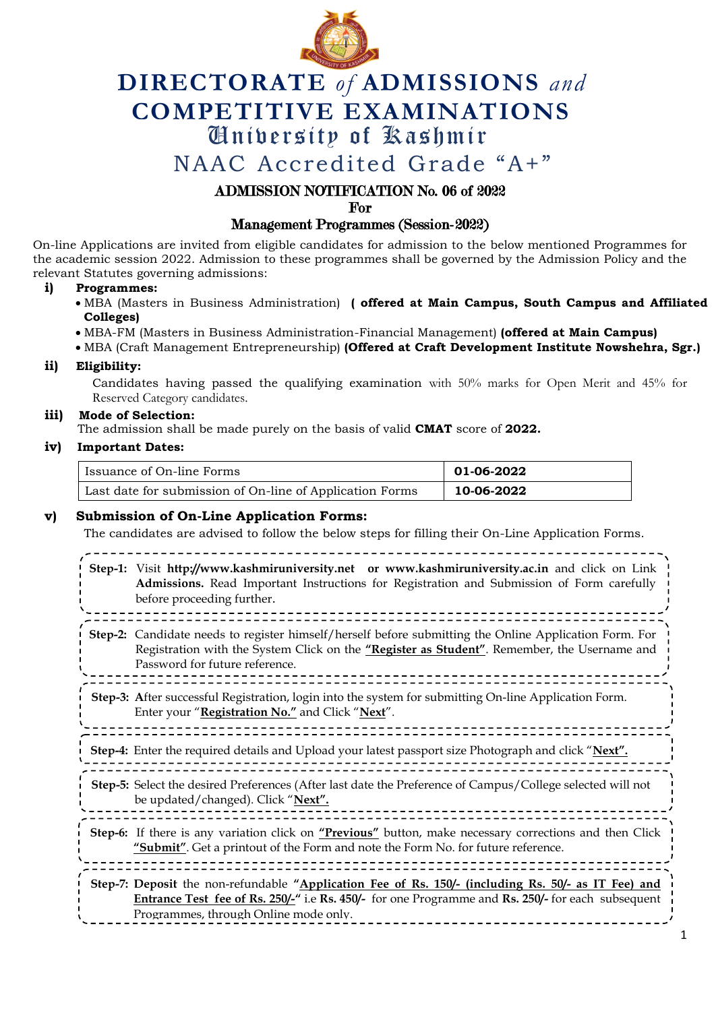

# **DIRECTORATE** *of* **ADMISSIONS** *and* **COMPETITIVE EXAMINATIONS** University of Kashmir

NAAC Accredited Grade "A+"

# ADMISSION NOTIFICATION No. 06 of 2022

For

# Management Programmes (Session-2022)

On-line Applications are invited from eligible candidates for admission to the below mentioned Programmes for the academic session 2022. Admission to these programmes shall be governed by the Admission Policy and the relevant Statutes governing admissions:

#### **i) Programmes:**

- MBA (Masters in Business Administration) **( offered at Main Campus, South Campus and Affiliated Colleges)**
- MBA-FM (Masters in Business Administration-Financial Management) **(offered at Main Campus)**
- MBA (Craft Management Entrepreneurship) **(Offered at Craft Development Institute Nowshehra, Sgr.)**

#### **ii) Eligibility:**

Candidates having passed the qualifying examination with 50% marks for Open Merit and 45% for Reserved Category candidates.

## **iii) Mode of Selection:**

The admission shall be made purely on the basis of valid **CMAT** score of **2022.**

## **iv) Important Dates:**

| Issuance of On-line Forms                                | 01-06-2022 |
|----------------------------------------------------------|------------|
| Last date for submission of On-line of Application Forms | 10-06-2022 |

## **v) Submission of On-Line Application Forms:**

The candidates are advised to follow the below steps for filling their On-Line Application Forms.

|         | Step-1: Visit http://www.kashmiruniversity.net or www.kashmiruniversity.ac.in and click on Link<br>Admissions. Read Important Instructions for Registration and Submission of Form carefully<br>before proceeding further.                        |
|---------|---------------------------------------------------------------------------------------------------------------------------------------------------------------------------------------------------------------------------------------------------|
| Step-2: | Candidate needs to register himself/herself before submitting the Online Application Form. For<br>Registration with the System Click on the "Register as Student". Remember, the Username and<br>Password for future reference.                   |
|         | Step-3: After successful Registration, login into the system for submitting On-line Application Form.<br>Enter your "Registration No." and Click "Next".                                                                                          |
|         | Step-4: Enter the required details and Upload your latest passport size Photograph and click "Next".                                                                                                                                              |
|         | Step-5: Select the desired Preferences (After last date the Preference of Campus/College selected will not<br>be updated/changed). Click "Next".                                                                                                  |
|         | Step-6: If there is any variation click on "Previous" button, make necessary corrections and then Click<br>"Submit". Get a printout of the Form and note the Form No. for future reference.                                                       |
|         | Step-7: Deposit the non-refundable "Application Fee of Rs. 150/- (including Rs. 50/- as IT Fee) and<br>Entrance Test fee of Rs. 250/-" i.e Rs. 450/- for one Programme and Rs. 250/- for each subsequent<br>Programmes, through Online mode only. |